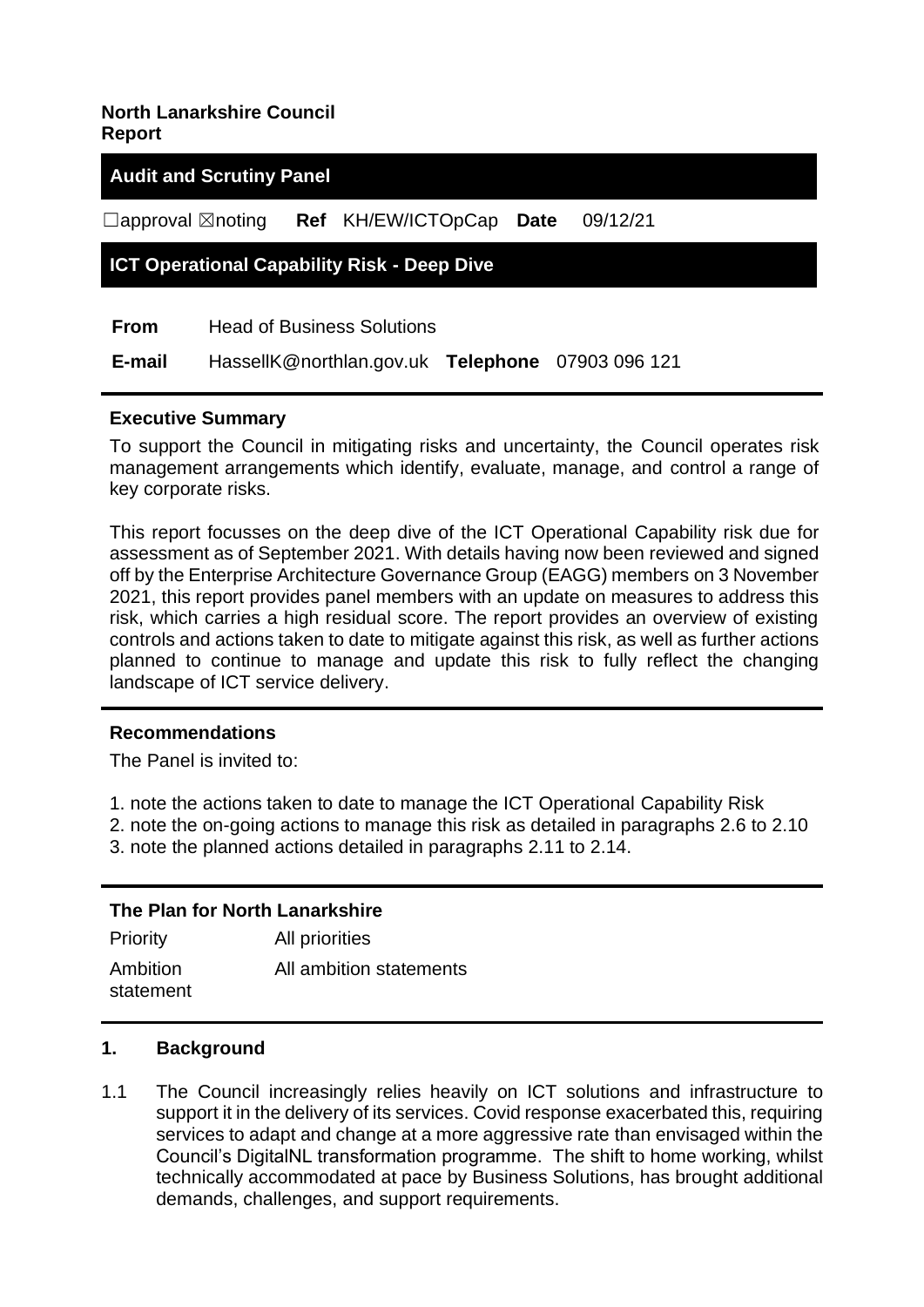## **North Lanarkshire Council Report**

## **Audit and Scrutiny Panel**

☐approval ☒noting **Ref** KH/EW/ICTOpCap **Date** 09/12/21

#### **ICT Operational Capability Risk - Deep Dive**

**From** Head of Business Solutions

 **E-mail** HassellK@northlan.gov.uk **Telephone** 07903 096 121

#### **Executive Summary**

To support the Council in mitigating risks and uncertainty, the Council operates risk management arrangements which identify, evaluate, manage, and control a range of key corporate risks.

This report focusses on the deep dive of the ICT Operational Capability risk due for assessment as of September 2021. With details having now been reviewed and signed off by the Enterprise Architecture Governance Group (EAGG) members on 3 November 2021, this report provides panel members with an update on measures to address this risk, which carries a high residual score. The report provides an overview of existing controls and actions taken to date to mitigate against this risk, as well as further actions planned to continue to manage and update this risk to fully reflect the changing landscape of ICT service delivery.

#### **Recommendations**

The Panel is invited to:

- 1. note the actions taken to date to manage the ICT Operational Capability Risk
- 2. note the on-going actions to manage this risk as detailed in paragraphs 2.6 to 2.10
- 3. note the planned actions detailed in paragraphs 2.11 to 2.14.

#### **The Plan for North Lanarkshire**

| Priority              | All priorities          |
|-----------------------|-------------------------|
| Ambition<br>statement | All ambition statements |

#### **1. Background**

1.1 The Council increasingly relies heavily on ICT solutions and infrastructure to support it in the delivery of its services. Covid response exacerbated this, requiring services to adapt and change at a more aggressive rate than envisaged within the Council's DigitalNL transformation programme. The shift to home working, whilst technically accommodated at pace by Business Solutions, has brought additional demands, challenges, and support requirements.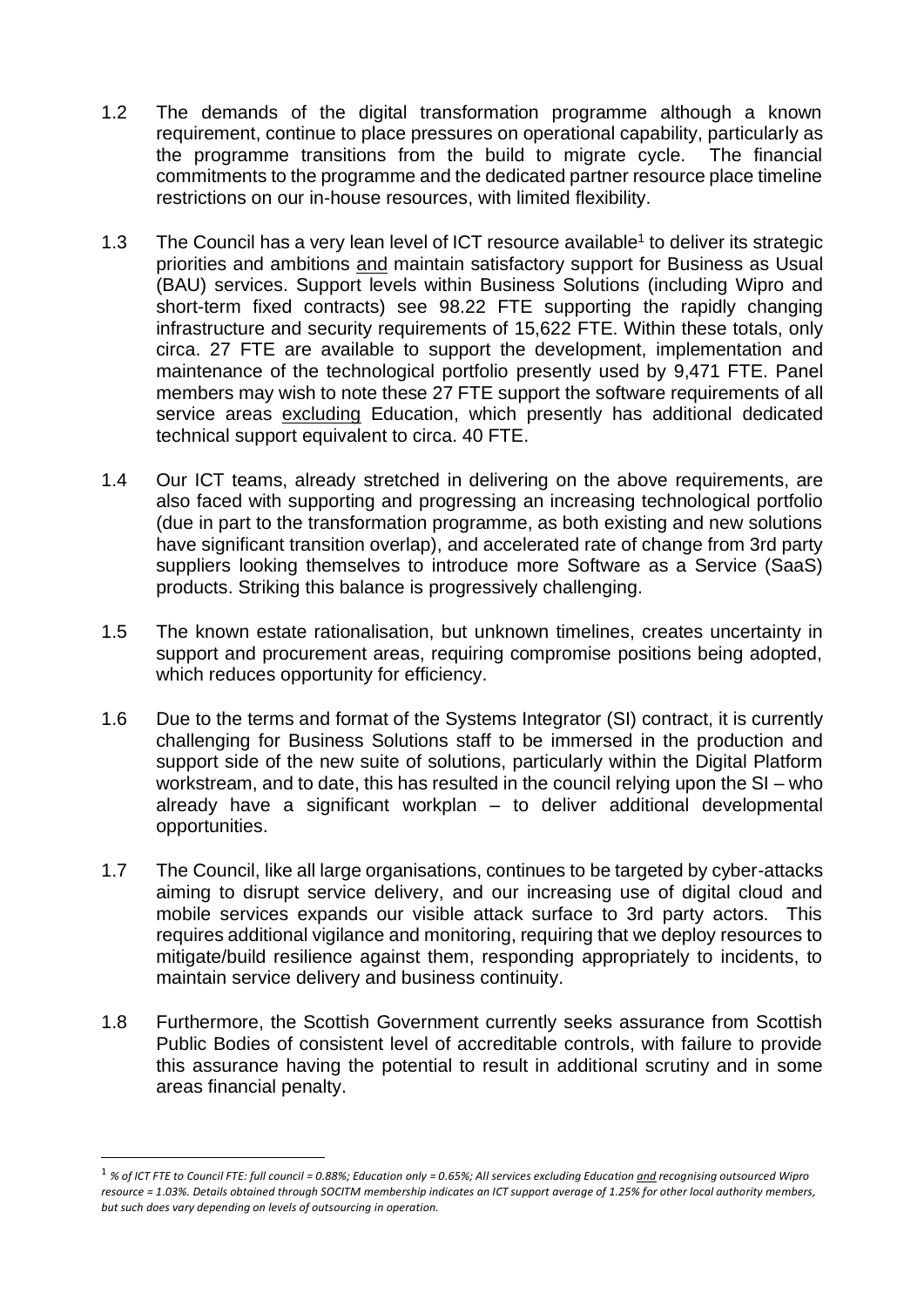- 1.2 The demands of the digital transformation programme although a known requirement, continue to place pressures on operational capability, particularly as the programme transitions from the build to migrate cycle. The financial commitments to the programme and the dedicated partner resource place timeline restrictions on our in-house resources, with limited flexibility.
- 1.3 The Council has a very lean level of ICT resource available<sup>1</sup> to deliver its strategic priorities and ambitions and maintain satisfactory support for Business as Usual (BAU) services. Support levels within Business Solutions (including Wipro and short-term fixed contracts) see 98.22 FTE supporting the rapidly changing infrastructure and security requirements of 15,622 FTE. Within these totals, only circa. 27 FTE are available to support the development, implementation and maintenance of the technological portfolio presently used by 9,471 FTE. Panel members may wish to note these 27 FTE support the software requirements of all service areas excluding Education, which presently has additional dedicated technical support equivalent to circa. 40 FTE.
- 1.4 Our ICT teams, already stretched in delivering on the above requirements, are also faced with supporting and progressing an increasing technological portfolio (due in part to the transformation programme, as both existing and new solutions have significant transition overlap), and accelerated rate of change from 3rd party suppliers looking themselves to introduce more Software as a Service (SaaS) products. Striking this balance is progressively challenging.
- 1.5 The known estate rationalisation, but unknown timelines, creates uncertainty in support and procurement areas, requiring compromise positions being adopted, which reduces opportunity for efficiency.
- 1.6 Due to the terms and format of the Systems Integrator (SI) contract, it is currently challenging for Business Solutions staff to be immersed in the production and support side of the new suite of solutions, particularly within the Digital Platform workstream, and to date, this has resulted in the council relying upon the SI – who already have a significant workplan – to deliver additional developmental opportunities.
- 1.7 The Council, like all large organisations, continues to be targeted by cyber-attacks aiming to disrupt service delivery, and our increasing use of digital cloud and mobile services expands our visible attack surface to 3rd party actors. This requires additional vigilance and monitoring, requiring that we deploy resources to mitigate/build resilience against them, responding appropriately to incidents, to maintain service delivery and business continuity.
- 1.8 Furthermore, the Scottish Government currently seeks assurance from Scottish Public Bodies of consistent level of accreditable controls, with failure to provide this assurance having the potential to result in additional scrutiny and in some areas financial penalty.

<sup>1</sup> *% of ICT FTE to Council FTE: full council = 0.88%; Education only = 0.65%; All services excluding Education and recognising outsourced Wipro resource = 1.03%. Details obtained through SOCITM membership indicates an ICT support average of 1.25% for other local authority members, but such does vary depending on levels of outsourcing in operation.*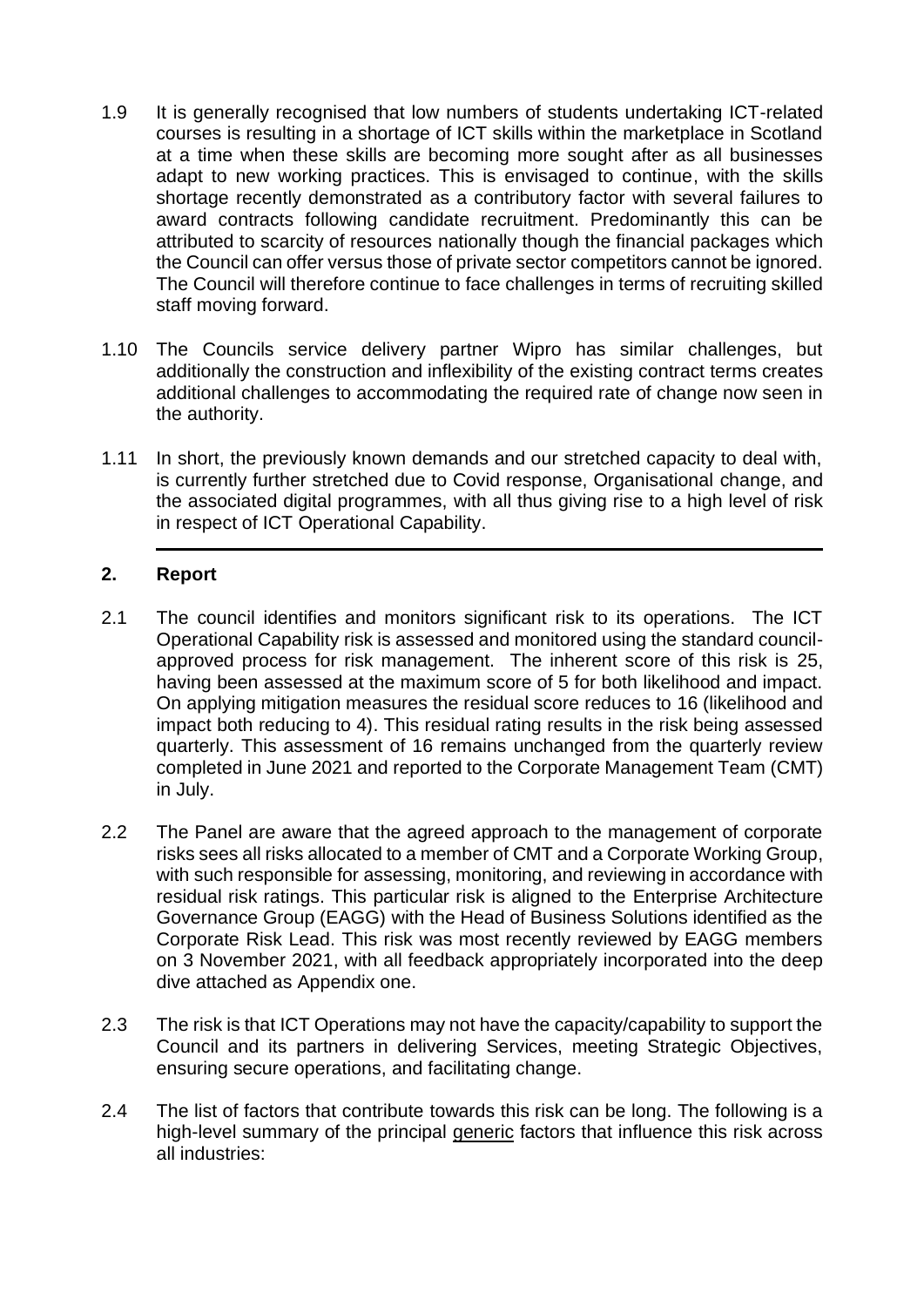- 1.9 It is generally recognised that low numbers of students undertaking ICT-related courses is resulting in a shortage of ICT skills within the marketplace in Scotland at a time when these skills are becoming more sought after as all businesses adapt to new working practices. This is envisaged to continue, with the skills shortage recently demonstrated as a contributory factor with several failures to award contracts following candidate recruitment. Predominantly this can be attributed to scarcity of resources nationally though the financial packages which the Council can offer versus those of private sector competitors cannot be ignored. The Council will therefore continue to face challenges in terms of recruiting skilled staff moving forward.
- 1.10 The Councils service delivery partner Wipro has similar challenges, but additionally the construction and inflexibility of the existing contract terms creates additional challenges to accommodating the required rate of change now seen in the authority.
- 1.11 In short, the previously known demands and our stretched capacity to deal with, is currently further stretched due to Covid response, Organisational change, and the associated digital programmes, with all thus giving rise to a high level of risk in respect of ICT Operational Capability.

#### **2. Report**

- 2.1 The council identifies and monitors significant risk to its operations. The ICT Operational Capability risk is assessed and monitored using the standard councilapproved process for risk management. The inherent score of this risk is 25, having been assessed at the maximum score of 5 for both likelihood and impact. On applying mitigation measures the residual score reduces to 16 (likelihood and impact both reducing to 4). This residual rating results in the risk being assessed quarterly. This assessment of 16 remains unchanged from the quarterly review completed in June 2021 and reported to the Corporate Management Team (CMT) in July.
- 2.2 The Panel are aware that the agreed approach to the management of corporate risks sees all risks allocated to a member of CMT and a Corporate Working Group, with such responsible for assessing, monitoring, and reviewing in accordance with residual risk ratings. This particular risk is aligned to the Enterprise Architecture Governance Group (EAGG) with the Head of Business Solutions identified as the Corporate Risk Lead. This risk was most recently reviewed by EAGG members on 3 November 2021, with all feedback appropriately incorporated into the deep dive attached as Appendix one.
- 2.3 The risk is that ICT Operations may not have the capacity/capability to support the Council and its partners in delivering Services, meeting Strategic Objectives, ensuring secure operations, and facilitating change.
- 2.4 The list of factors that contribute towards this risk can be long. The following is a high-level summary of the principal generic factors that influence this risk across all industries: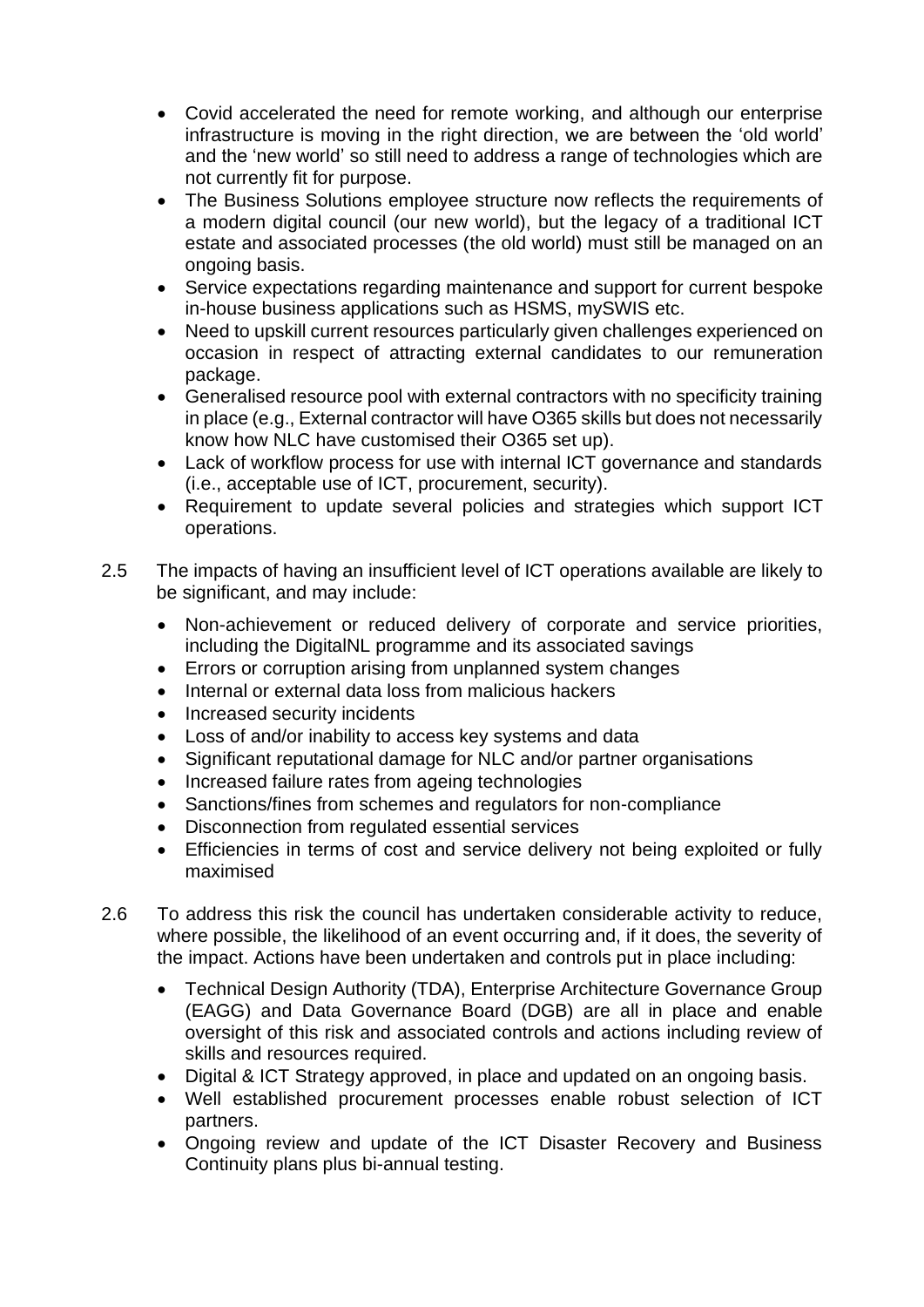- Covid accelerated the need for remote working, and although our enterprise infrastructure is moving in the right direction, we are between the 'old world' and the 'new world' so still need to address a range of technologies which are not currently fit for purpose.
- The Business Solutions employee structure now reflects the requirements of a modern digital council (our new world), but the legacy of a traditional ICT estate and associated processes (the old world) must still be managed on an ongoing basis.
- Service expectations regarding maintenance and support for current bespoke in-house business applications such as HSMS, mySWIS etc.
- Need to upskill current resources particularly given challenges experienced on occasion in respect of attracting external candidates to our remuneration package.
- Generalised resource pool with external contractors with no specificity training in place (e.g., External contractor will have O365 skills but does not necessarily know how NLC have customised their O365 set up).
- Lack of workflow process for use with internal ICT governance and standards (i.e., acceptable use of ICT, procurement, security).
- Requirement to update several policies and strategies which support ICT operations.
- 2.5 The impacts of having an insufficient level of ICT operations available are likely to be significant, and may include:
	- Non-achievement or reduced delivery of corporate and service priorities, including the DigitalNL programme and its associated savings
	- Errors or corruption arising from unplanned system changes
	- Internal or external data loss from malicious hackers
	- Increased security incidents
	- Loss of and/or inability to access key systems and data
	- Significant reputational damage for NLC and/or partner organisations
	- Increased failure rates from ageing technologies
	- Sanctions/fines from schemes and regulators for non-compliance
	- Disconnection from regulated essential services
	- Efficiencies in terms of cost and service delivery not being exploited or fully maximised
- 2.6 To address this risk the council has undertaken considerable activity to reduce, where possible, the likelihood of an event occurring and, if it does, the severity of the impact. Actions have been undertaken and controls put in place including:
	- Technical Design Authority (TDA), Enterprise Architecture Governance Group (EAGG) and Data Governance Board (DGB) are all in place and enable oversight of this risk and associated controls and actions including review of skills and resources required.
	- Digital & ICT Strategy approved, in place and updated on an ongoing basis.
	- Well established procurement processes enable robust selection of ICT partners.
	- Ongoing review and update of the ICT Disaster Recovery and Business Continuity plans plus bi-annual testing.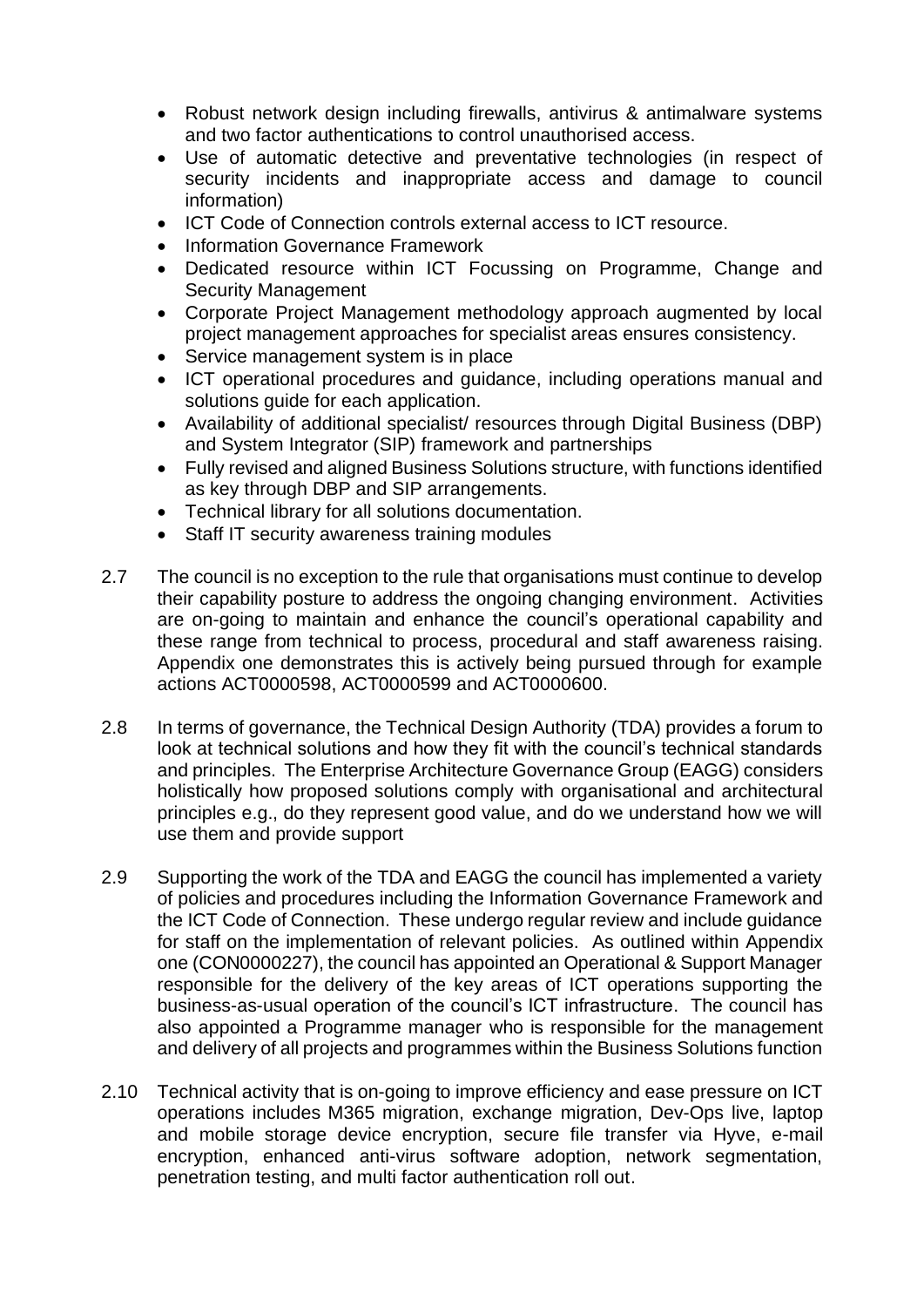- Robust network design including firewalls, antivirus & antimalware systems and two factor authentications to control unauthorised access.
- Use of automatic detective and preventative technologies (in respect of security incidents and inappropriate access and damage to council information)
- ICT Code of Connection controls external access to ICT resource.
- Information Governance Framework
- Dedicated resource within ICT Focussing on Programme, Change and Security Management
- Corporate Project Management methodology approach augmented by local project management approaches for specialist areas ensures consistency.
- Service management system is in place
- ICT operational procedures and guidance, including operations manual and solutions guide for each application.
- Availability of additional specialist/ resources through Digital Business (DBP) and System Integrator (SIP) framework and partnerships
- Fully revised and aligned Business Solutions structure, with functions identified as key through DBP and SIP arrangements.
- Technical library for all solutions documentation.
- Staff IT security awareness training modules
- 2.7 The council is no exception to the rule that organisations must continue to develop their capability posture to address the ongoing changing environment. Activities are on-going to maintain and enhance the council's operational capability and these range from technical to process, procedural and staff awareness raising. Appendix one demonstrates this is actively being pursued through for example actions ACT0000598, ACT0000599 and ACT0000600.
- 2.8 In terms of governance, the Technical Design Authority (TDA) provides a forum to look at technical solutions and how they fit with the council's technical standards and principles. The Enterprise Architecture Governance Group (EAGG) considers holistically how proposed solutions comply with organisational and architectural principles e.g., do they represent good value, and do we understand how we will use them and provide support
- 2.9 Supporting the work of the TDA and EAGG the council has implemented a variety of policies and procedures including the Information Governance Framework and the ICT Code of Connection. These undergo regular review and include guidance for staff on the implementation of relevant policies. As outlined within Appendix one (CON0000227), the council has appointed an Operational & Support Manager responsible for the delivery of the key areas of ICT operations supporting the business-as-usual operation of the council's ICT infrastructure. The council has also appointed a Programme manager who is responsible for the management and delivery of all projects and programmes within the Business Solutions function
- 2.10 Technical activity that is on-going to improve efficiency and ease pressure on ICT operations includes M365 migration, exchange migration, Dev-Ops live, laptop and mobile storage device encryption, secure file transfer via Hyve, e-mail encryption, enhanced anti-virus software adoption, network segmentation, penetration testing, and multi factor authentication roll out.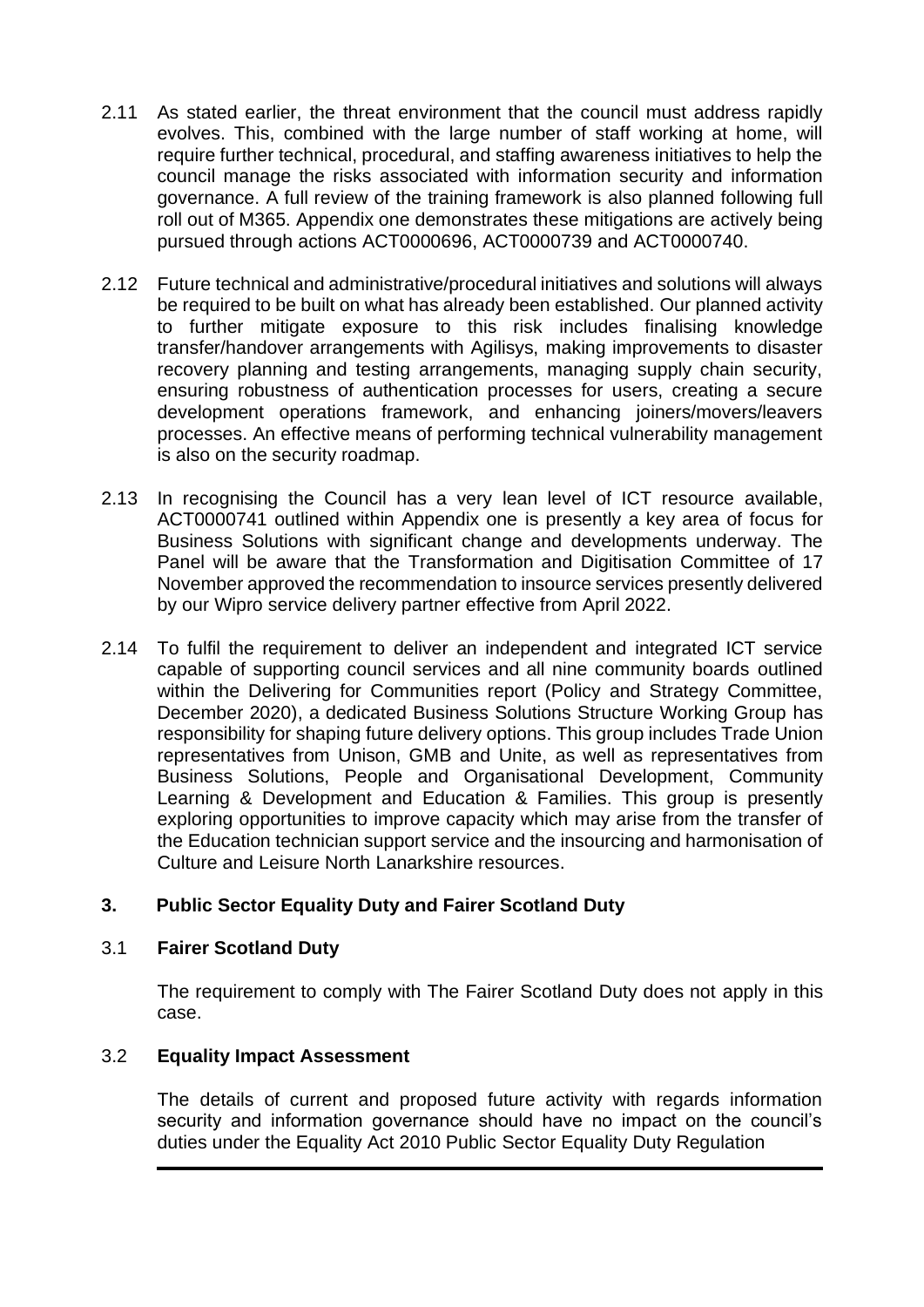- 2.11 As stated earlier, the threat environment that the council must address rapidly evolves. This, combined with the large number of staff working at home, will require further technical, procedural, and staffing awareness initiatives to help the council manage the risks associated with information security and information governance. A full review of the training framework is also planned following full roll out of M365. Appendix one demonstrates these mitigations are actively being pursued through actions ACT0000696, ACT0000739 and ACT0000740.
- 2.12 Future technical and administrative/procedural initiatives and solutions will always be required to be built on what has already been established. Our planned activity to further mitigate exposure to this risk includes finalising knowledge transfer/handover arrangements with Agilisys, making improvements to disaster recovery planning and testing arrangements, managing supply chain security, ensuring robustness of authentication processes for users, creating a secure development operations framework, and enhancing joiners/movers/leavers processes. An effective means of performing technical vulnerability management is also on the security roadmap.
- 2.13 In recognising the Council has a very lean level of ICT resource available, ACT0000741 outlined within Appendix one is presently a key area of focus for Business Solutions with significant change and developments underway. The Panel will be aware that the Transformation and Digitisation Committee of 17 November approved the recommendation to insource services presently delivered by our Wipro service delivery partner effective from April 2022.
- 2.14 To fulfil the requirement to deliver an independent and integrated ICT service capable of supporting council services and all nine community boards outlined within the Delivering for Communities report (Policy and Strategy Committee, December 2020), a dedicated Business Solutions Structure Working Group has responsibility for shaping future delivery options. This group includes Trade Union representatives from Unison, GMB and Unite, as well as representatives from Business Solutions, People and Organisational Development, Community Learning & Development and Education & Families. This group is presently exploring opportunities to improve capacity which may arise from the transfer of the Education technician support service and the insourcing and harmonisation of Culture and Leisure North Lanarkshire resources.

## **3. Public Sector Equality Duty and Fairer Scotland Duty**

## 3.1 **Fairer Scotland Duty**

The requirement to comply with The Fairer Scotland Duty does not apply in this case.

## 3.2 **Equality Impact Assessment**

The details of current and proposed future activity with regards information security and information governance should have no impact on the council's duties under the Equality Act 2010 Public Sector Equality Duty Regulation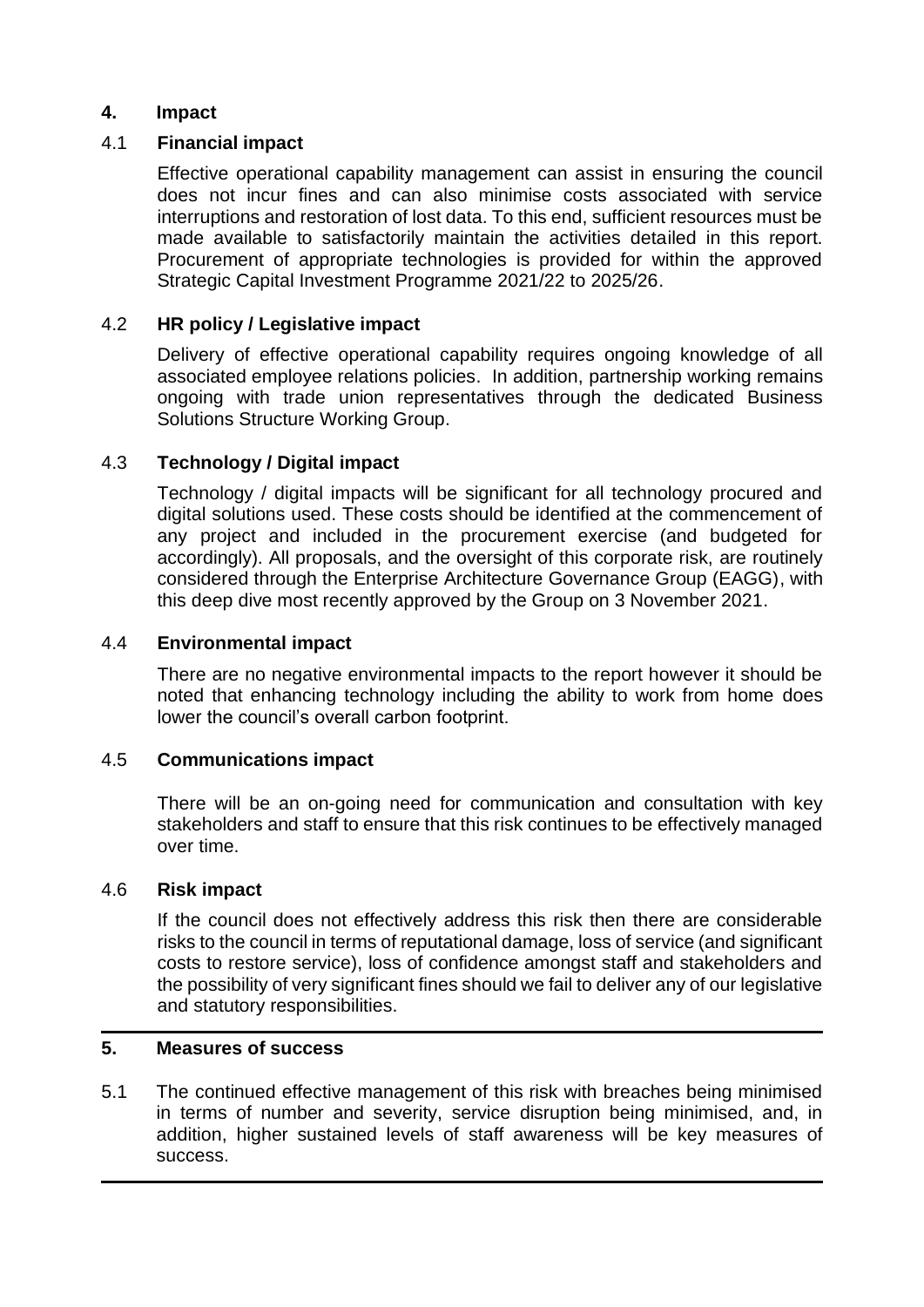#### **4. Impact**

#### 4.1 **Financial impact**

Effective operational capability management can assist in ensuring the council does not incur fines and can also minimise costs associated with service interruptions and restoration of lost data. To this end, sufficient resources must be made available to satisfactorily maintain the activities detailed in this report. Procurement of appropriate technologies is provided for within the approved Strategic Capital Investment Programme 2021/22 to 2025/26.

#### 4.2 **HR policy / Legislative impact**

Delivery of effective operational capability requires ongoing knowledge of all associated employee relations policies. In addition, partnership working remains ongoing with trade union representatives through the dedicated Business Solutions Structure Working Group.

#### 4.3 **Technology / Digital impact**

Technology / digital impacts will be significant for all technology procured and digital solutions used. These costs should be identified at the commencement of any project and included in the procurement exercise (and budgeted for accordingly). All proposals, and the oversight of this corporate risk, are routinely considered through the Enterprise Architecture Governance Group (EAGG), with this deep dive most recently approved by the Group on 3 November 2021.

#### 4.4 **Environmental impact**

There are no negative environmental impacts to the report however it should be noted that enhancing technology including the ability to work from home does lower the council's overall carbon footprint.

#### 4.5 **Communications impact**

There will be an on-going need for communication and consultation with key stakeholders and staff to ensure that this risk continues to be effectively managed over time.

#### 4.6 **Risk impact**

If the council does not effectively address this risk then there are considerable risks to the council in terms of reputational damage, loss of service (and significant costs to restore service), loss of confidence amongst staff and stakeholders and the possibility of very significant fines should we fail to deliver any of our legislative and statutory responsibilities.

#### **5. Measures of success**

5.1 The continued effective management of this risk with breaches being minimised in terms of number and severity, service disruption being minimised, and, in addition, higher sustained levels of staff awareness will be key measures of success.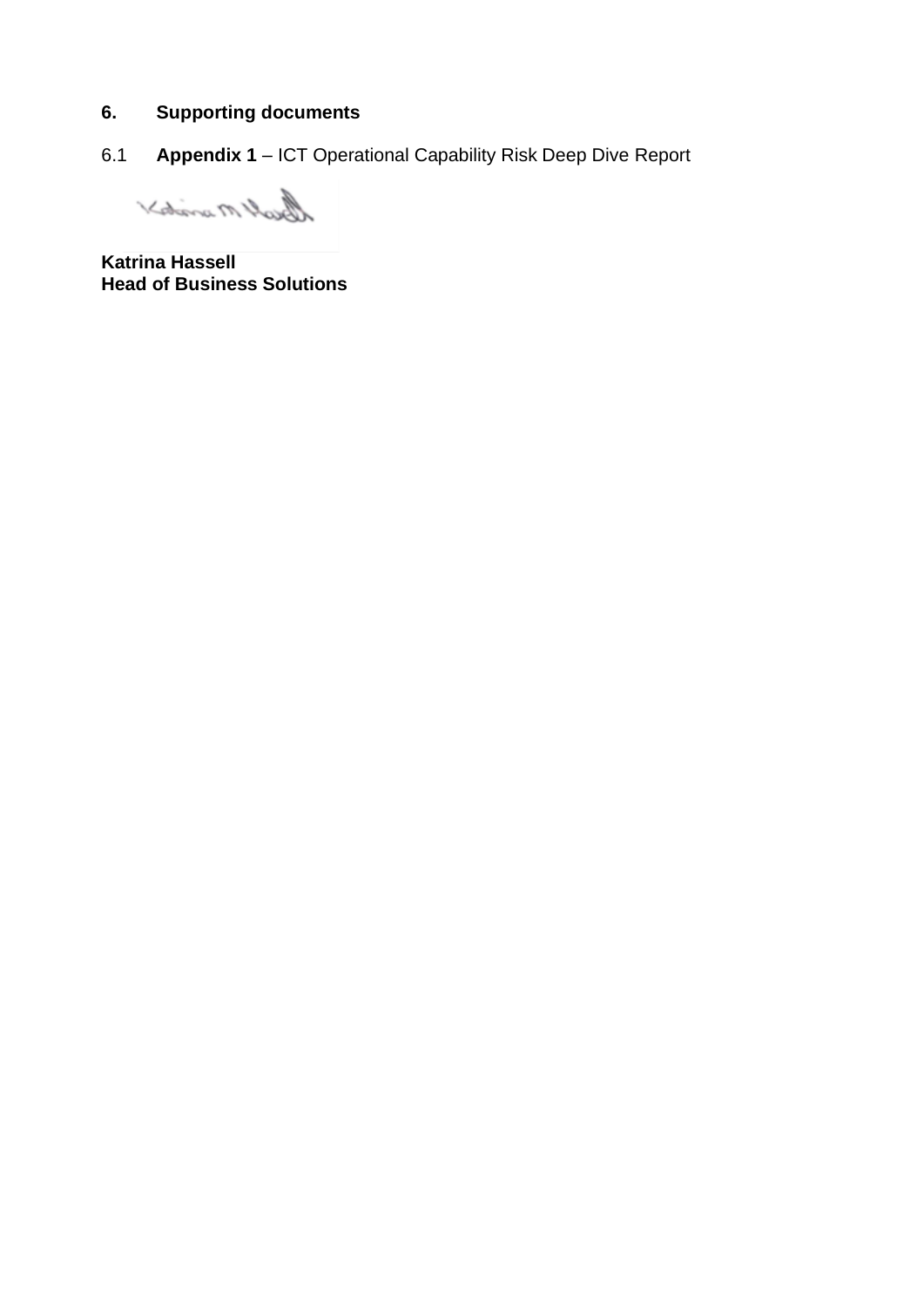#### **6. Supporting documents**

6.1 **Appendix 1** – ICT Operational Capability Risk Deep Dive Report

Best Marioto X

**Katrina Hassell Head of Business Solutions**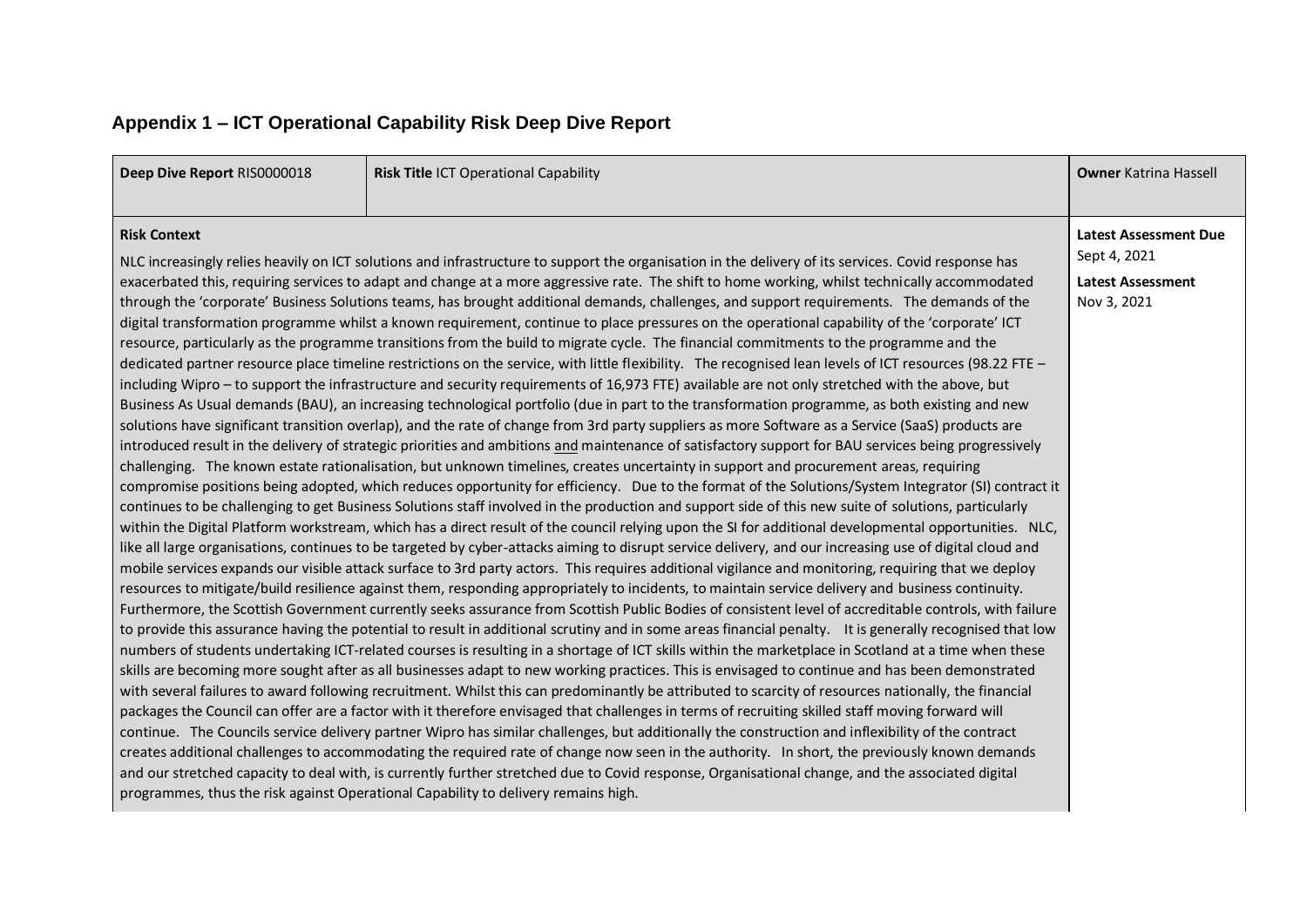# **Appendix 1 – ICT Operational Capability Risk Deep Dive Report**

| Deep Dive Report RIS0000018<br>Risk Title ICT Operational Capability                                                                                                                                                                                                                                                                                                                                                                                                                                                                                                                                                                                                                                                                                                                                                                                                                                                                                                                                                                                                                                                                                                                                                                                                                                                                                                                                                                                                                                                                                                                                                                                                                                                                                                                                                                                                                                                                                                                                                                                                                                                                                                                                                                                                                                                                                                                                                                                                                                                                                                                                                                                                                                                                                                                                                                                                                                                                                                                                                                                                                                                                                                                                                                                                                                                                                                               |                                                                                                                                                                                                                                                                                                                                                                                                                                                                                                                                                                                                                                   | <b>Owner Katrina Hassell</b>                 |
|------------------------------------------------------------------------------------------------------------------------------------------------------------------------------------------------------------------------------------------------------------------------------------------------------------------------------------------------------------------------------------------------------------------------------------------------------------------------------------------------------------------------------------------------------------------------------------------------------------------------------------------------------------------------------------------------------------------------------------------------------------------------------------------------------------------------------------------------------------------------------------------------------------------------------------------------------------------------------------------------------------------------------------------------------------------------------------------------------------------------------------------------------------------------------------------------------------------------------------------------------------------------------------------------------------------------------------------------------------------------------------------------------------------------------------------------------------------------------------------------------------------------------------------------------------------------------------------------------------------------------------------------------------------------------------------------------------------------------------------------------------------------------------------------------------------------------------------------------------------------------------------------------------------------------------------------------------------------------------------------------------------------------------------------------------------------------------------------------------------------------------------------------------------------------------------------------------------------------------------------------------------------------------------------------------------------------------------------------------------------------------------------------------------------------------------------------------------------------------------------------------------------------------------------------------------------------------------------------------------------------------------------------------------------------------------------------------------------------------------------------------------------------------------------------------------------------------------------------------------------------------------------------------------------------------------------------------------------------------------------------------------------------------------------------------------------------------------------------------------------------------------------------------------------------------------------------------------------------------------------------------------------------------------------------------------------------------------------------------------------------------|-----------------------------------------------------------------------------------------------------------------------------------------------------------------------------------------------------------------------------------------------------------------------------------------------------------------------------------------------------------------------------------------------------------------------------------------------------------------------------------------------------------------------------------------------------------------------------------------------------------------------------------|----------------------------------------------|
| <b>Risk Context</b>                                                                                                                                                                                                                                                                                                                                                                                                                                                                                                                                                                                                                                                                                                                                                                                                                                                                                                                                                                                                                                                                                                                                                                                                                                                                                                                                                                                                                                                                                                                                                                                                                                                                                                                                                                                                                                                                                                                                                                                                                                                                                                                                                                                                                                                                                                                                                                                                                                                                                                                                                                                                                                                                                                                                                                                                                                                                                                                                                                                                                                                                                                                                                                                                                                                                                                                                                                |                                                                                                                                                                                                                                                                                                                                                                                                                                                                                                                                                                                                                                   | <b>Latest Assessment Due</b><br>Sept 4, 2021 |
| NLC increasingly relies heavily on ICT solutions and infrastructure to support the organisation in the delivery of its services. Covid response has<br>exacerbated this, requiring services to adapt and change at a more aggressive rate. The shift to home working, whilst technically accommodated<br>through the 'corporate' Business Solutions teams, has brought additional demands, challenges, and support requirements. The demands of the<br>digital transformation programme whilst a known requirement, continue to place pressures on the operational capability of the 'corporate' ICT<br>resource, particularly as the programme transitions from the build to migrate cycle. The financial commitments to the programme and the<br>dedicated partner resource place timeline restrictions on the service, with little flexibility. The recognised lean levels of ICT resources (98.22 FTE -<br>including Wipro - to support the infrastructure and security requirements of 16,973 FTE) available are not only stretched with the above, but<br>Business As Usual demands (BAU), an increasing technological portfolio (due in part to the transformation programme, as both existing and new<br>solutions have significant transition overlap), and the rate of change from 3rd party suppliers as more Software as a Service (SaaS) products are<br>introduced result in the delivery of strategic priorities and ambitions and maintenance of satisfactory support for BAU services being progressively<br>challenging. The known estate rationalisation, but unknown timelines, creates uncertainty in support and procurement areas, requiring<br>continues to be challenging to get Business Solutions staff involved in the production and support side of this new suite of solutions, particularly<br>like all large organisations, continues to be targeted by cyber-attacks aiming to disrupt service delivery, and our increasing use of digital cloud and<br>mobile services expands our visible attack surface to 3rd party actors. This requires additional vigilance and monitoring, requiring that we deploy<br>resources to mitigate/build resilience against them, responding appropriately to incidents, to maintain service delivery and business continuity.<br>numbers of students undertaking ICT-related courses is resulting in a shortage of ICT skills within the marketplace in Scotland at a time when these<br>skills are becoming more sought after as all businesses adapt to new working practices. This is envisaged to continue and has been demonstrated<br>with several failures to award following recruitment. Whilst this can predominantly be attributed to scarcity of resources nationally, the financial<br>packages the Council can offer are a factor with it therefore envisaged that challenges in terms of recruiting skilled staff moving forward will<br>continue. The Councils service delivery partner Wipro has similar challenges, but additionally the construction and inflexibility of the contract<br>creates additional challenges to accommodating the required rate of change now seen in the authority. In short, the previously known demands<br>and our stretched capacity to deal with, is currently further stretched due to Covid response, Organisational change, and the associated digital | compromise positions being adopted, which reduces opportunity for efficiency. Due to the format of the Solutions/System Integrator (SI) contract it<br>within the Digital Platform workstream, which has a direct result of the council relying upon the SI for additional developmental opportunities. NLC,<br>Furthermore, the Scottish Government currently seeks assurance from Scottish Public Bodies of consistent level of accreditable controls, with failure<br>to provide this assurance having the potential to result in additional scrutiny and in some areas financial penalty. It is generally recognised that low | <b>Latest Assessment</b><br>Nov 3, 2021      |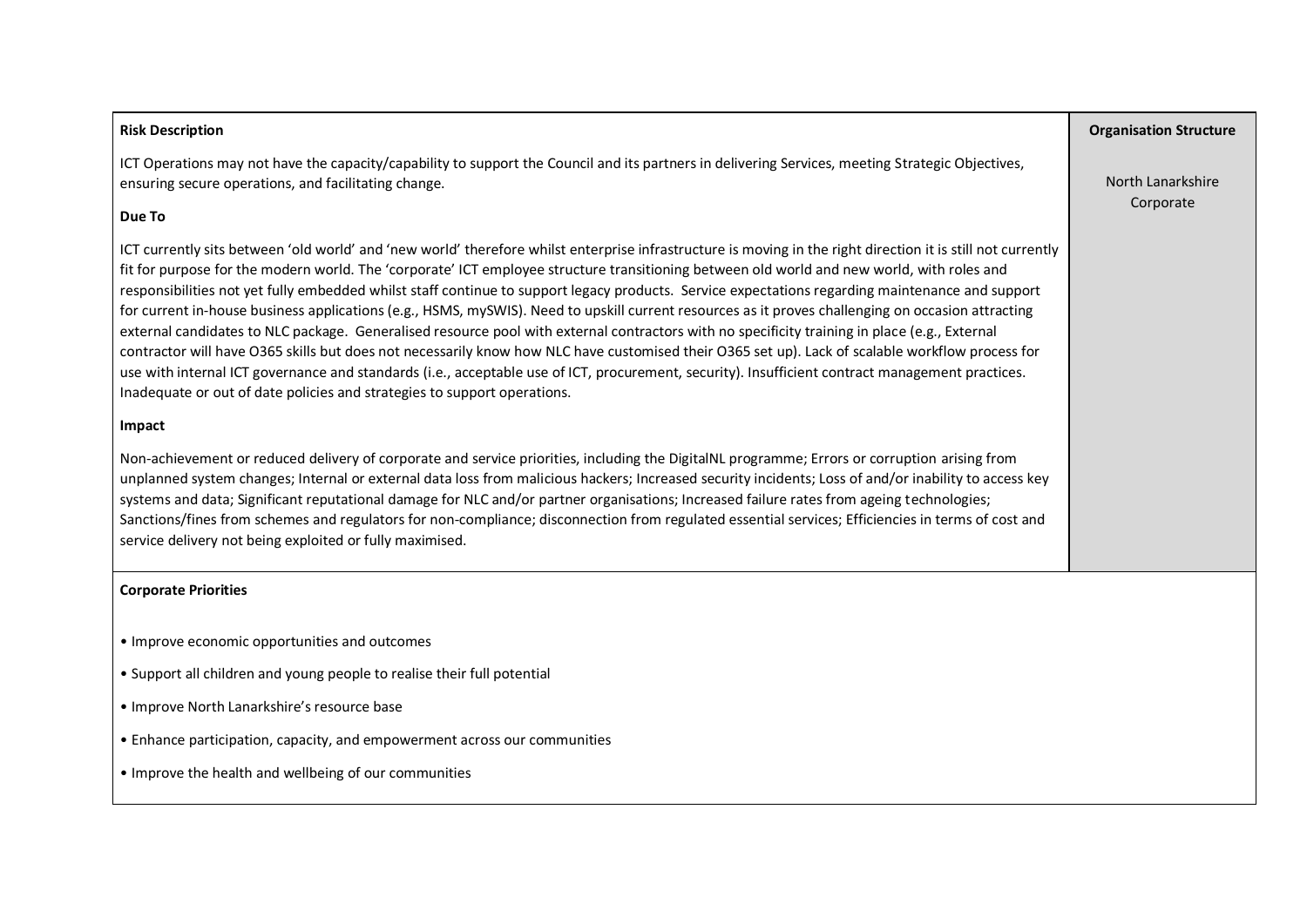| <b>Risk Description</b>                                                                                                                                                                                                                                                                                                                                                                                                                                                                                                                                                                                                                                                                                                                                                                                                                                                                                                                                                                                                                                                                                                                                   | <b>Organisation Structure</b>  |
|-----------------------------------------------------------------------------------------------------------------------------------------------------------------------------------------------------------------------------------------------------------------------------------------------------------------------------------------------------------------------------------------------------------------------------------------------------------------------------------------------------------------------------------------------------------------------------------------------------------------------------------------------------------------------------------------------------------------------------------------------------------------------------------------------------------------------------------------------------------------------------------------------------------------------------------------------------------------------------------------------------------------------------------------------------------------------------------------------------------------------------------------------------------|--------------------------------|
| ICT Operations may not have the capacity/capability to support the Council and its partners in delivering Services, meeting Strategic Objectives,<br>ensuring secure operations, and facilitating change.                                                                                                                                                                                                                                                                                                                                                                                                                                                                                                                                                                                                                                                                                                                                                                                                                                                                                                                                                 | North Lanarkshire<br>Corporate |
| Due To                                                                                                                                                                                                                                                                                                                                                                                                                                                                                                                                                                                                                                                                                                                                                                                                                                                                                                                                                                                                                                                                                                                                                    |                                |
| ICT currently sits between 'old world' and 'new world' therefore whilst enterprise infrastructure is moving in the right direction it is still not currently<br>fit for purpose for the modern world. The 'corporate' ICT employee structure transitioning between old world and new world, with roles and<br>responsibilities not yet fully embedded whilst staff continue to support legacy products. Service expectations regarding maintenance and support<br>for current in-house business applications (e.g., HSMS, mySWIS). Need to upskill current resources as it proves challenging on occasion attracting<br>external candidates to NLC package. Generalised resource pool with external contractors with no specificity training in place (e.g., External<br>contractor will have O365 skills but does not necessarily know how NLC have customised their O365 set up). Lack of scalable workflow process for<br>use with internal ICT governance and standards (i.e., acceptable use of ICT, procurement, security). Insufficient contract management practices.<br>Inadequate or out of date policies and strategies to support operations. |                                |
| Impact                                                                                                                                                                                                                                                                                                                                                                                                                                                                                                                                                                                                                                                                                                                                                                                                                                                                                                                                                                                                                                                                                                                                                    |                                |
| Non-achievement or reduced delivery of corporate and service priorities, including the DigitalNL programme; Errors or corruption arising from<br>unplanned system changes; Internal or external data loss from malicious hackers; Increased security incidents; Loss of and/or inability to access key<br>systems and data; Significant reputational damage for NLC and/or partner organisations; Increased failure rates from ageing technologies;<br>Sanctions/fines from schemes and regulators for non-compliance; disconnection from regulated essential services; Efficiencies in terms of cost and<br>service delivery not being exploited or fully maximised.                                                                                                                                                                                                                                                                                                                                                                                                                                                                                     |                                |
| <b>Corporate Priorities</b>                                                                                                                                                                                                                                                                                                                                                                                                                                                                                                                                                                                                                                                                                                                                                                                                                                                                                                                                                                                                                                                                                                                               |                                |
| • Improve economic opportunities and outcomes<br>• Support all children and young people to realise their full potential                                                                                                                                                                                                                                                                                                                                                                                                                                                                                                                                                                                                                                                                                                                                                                                                                                                                                                                                                                                                                                  |                                |
| • Improve North Lanarkshire's resource base                                                                                                                                                                                                                                                                                                                                                                                                                                                                                                                                                                                                                                                                                                                                                                                                                                                                                                                                                                                                                                                                                                               |                                |

- Enhance participation, capacity, and empowerment across our communities
- Improve the health and wellbeing of our communities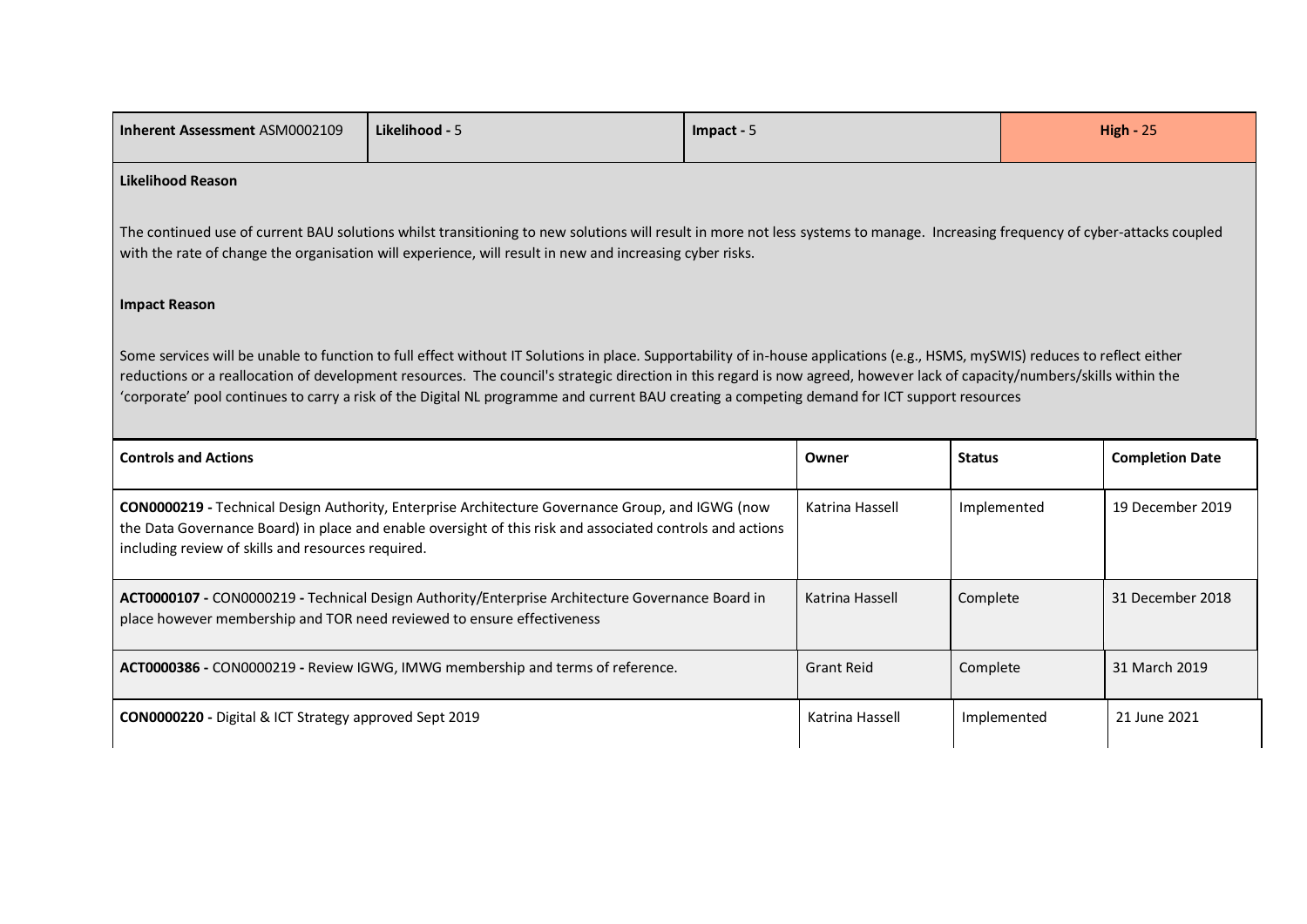|                                                                                   | Likelihood - 5                                                                                                                                                                                                                                                                                                                                                                                                                                                                                             | Impact - 5        |               | $High - 25$            |
|-----------------------------------------------------------------------------------|------------------------------------------------------------------------------------------------------------------------------------------------------------------------------------------------------------------------------------------------------------------------------------------------------------------------------------------------------------------------------------------------------------------------------------------------------------------------------------------------------------|-------------------|---------------|------------------------|
| <b>Likelihood Reason</b>                                                          |                                                                                                                                                                                                                                                                                                                                                                                                                                                                                                            |                   |               |                        |
|                                                                                   | The continued use of current BAU solutions whilst transitioning to new solutions will result in more not less systems to manage. Increasing frequency of cyber-attacks coupled<br>with the rate of change the organisation will experience, will result in new and increasing cyber risks.                                                                                                                                                                                                                 |                   |               |                        |
| <b>Impact Reason</b>                                                              |                                                                                                                                                                                                                                                                                                                                                                                                                                                                                                            |                   |               |                        |
|                                                                                   | Some services will be unable to function to full effect without IT Solutions in place. Supportability of in-house applications (e.g., HSMS, mySWIS) reduces to reflect either<br>reductions or a reallocation of development resources. The council's strategic direction in this regard is now agreed, however lack of capacity/numbers/skills within the<br>'corporate' pool continues to carry a risk of the Digital NL programme and current BAU creating a competing demand for ICT support resources |                   |               |                        |
|                                                                                   |                                                                                                                                                                                                                                                                                                                                                                                                                                                                                                            |                   |               |                        |
|                                                                                   |                                                                                                                                                                                                                                                                                                                                                                                                                                                                                                            | Owner             | <b>Status</b> | <b>Completion Date</b> |
| <b>Controls and Actions</b><br>including review of skills and resources required. | CON0000219 - Technical Design Authority, Enterprise Architecture Governance Group, and IGWG (now<br>the Data Governance Board) in place and enable oversight of this risk and associated controls and actions                                                                                                                                                                                                                                                                                              | Katrina Hassell   | Implemented   | 19 December 2019       |
|                                                                                   | ACT0000107 - CON0000219 - Technical Design Authority/Enterprise Architecture Governance Board in<br>place however membership and TOR need reviewed to ensure effectiveness                                                                                                                                                                                                                                                                                                                                 | Katrina Hassell   | Complete      | 31 December 2018       |
|                                                                                   | ACT0000386 - CON0000219 - Review IGWG, IMWG membership and terms of reference.                                                                                                                                                                                                                                                                                                                                                                                                                             | <b>Grant Reid</b> | Complete      | 31 March 2019          |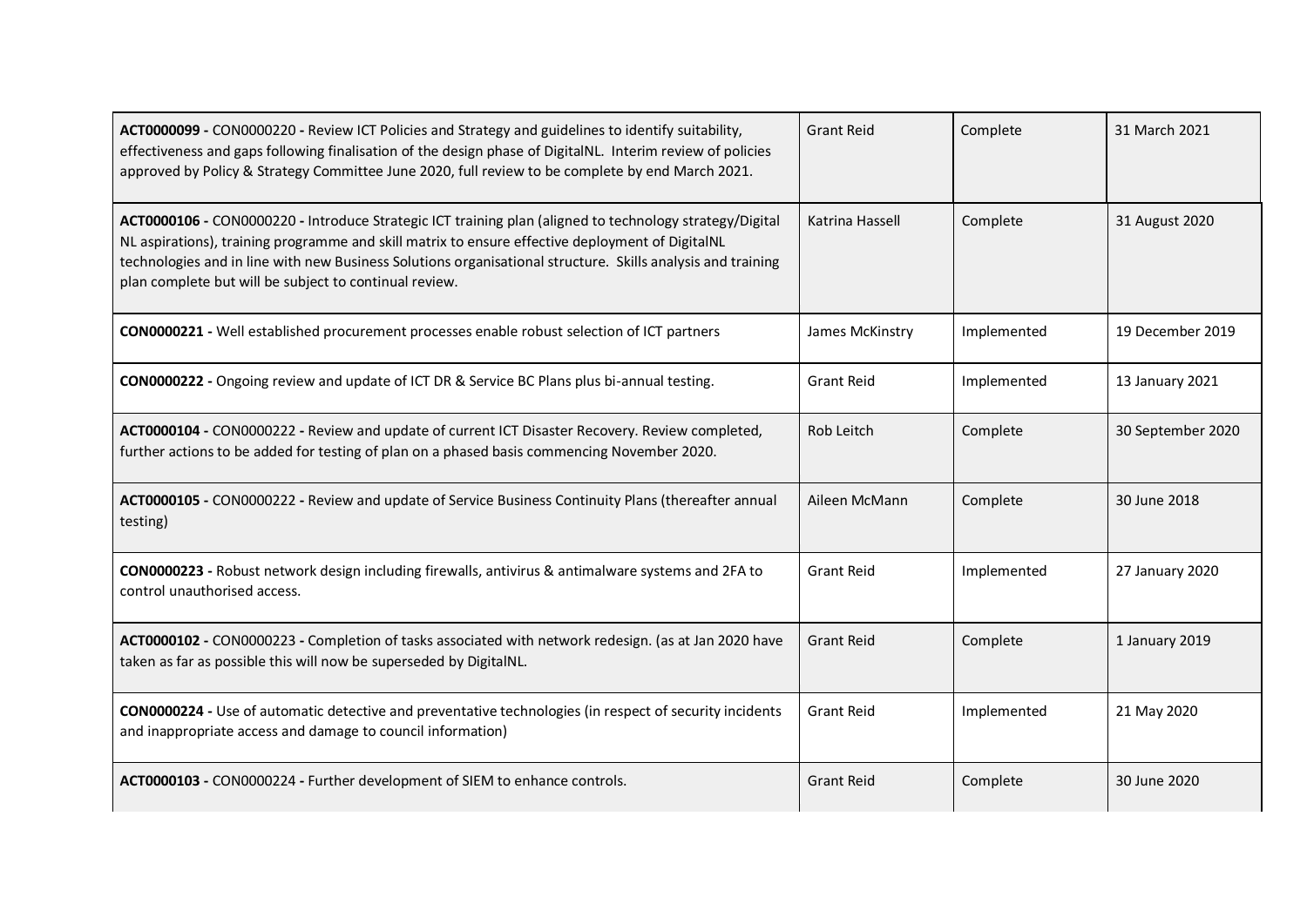| ACT0000099 - CON0000220 - Review ICT Policies and Strategy and guidelines to identify suitability,<br>effectiveness and gaps following finalisation of the design phase of DigitalNL. Interim review of policies<br>approved by Policy & Strategy Committee June 2020, full review to be complete by end March 2021.                                                                 | <b>Grant Reid</b> | Complete    | 31 March 2021     |
|--------------------------------------------------------------------------------------------------------------------------------------------------------------------------------------------------------------------------------------------------------------------------------------------------------------------------------------------------------------------------------------|-------------------|-------------|-------------------|
| ACT0000106 - CON0000220 - Introduce Strategic ICT training plan (aligned to technology strategy/Digital<br>NL aspirations), training programme and skill matrix to ensure effective deployment of DigitalNL<br>technologies and in line with new Business Solutions organisational structure. Skills analysis and training<br>plan complete but will be subject to continual review. | Katrina Hassell   | Complete    | 31 August 2020    |
| CON0000221 - Well established procurement processes enable robust selection of ICT partners                                                                                                                                                                                                                                                                                          | James McKinstry   | Implemented | 19 December 2019  |
| CON0000222 - Ongoing review and update of ICT DR & Service BC Plans plus bi-annual testing.                                                                                                                                                                                                                                                                                          | <b>Grant Reid</b> | Implemented | 13 January 2021   |
| ACT0000104 - CON0000222 - Review and update of current ICT Disaster Recovery. Review completed,<br>further actions to be added for testing of plan on a phased basis commencing November 2020.                                                                                                                                                                                       | Rob Leitch        | Complete    | 30 September 2020 |
| ACT0000105 - CON0000222 - Review and update of Service Business Continuity Plans (thereafter annual<br>testing)                                                                                                                                                                                                                                                                      | Aileen McMann     | Complete    | 30 June 2018      |
| CON0000223 - Robust network design including firewalls, antivirus & antimalware systems and 2FA to<br>control unauthorised access.                                                                                                                                                                                                                                                   | <b>Grant Reid</b> | Implemented | 27 January 2020   |
| ACT0000102 - CON0000223 - Completion of tasks associated with network redesign. (as at Jan 2020 have<br>taken as far as possible this will now be superseded by DigitalNL.                                                                                                                                                                                                           | <b>Grant Reid</b> | Complete    | 1 January 2019    |
| CON0000224 - Use of automatic detective and preventative technologies (in respect of security incidents<br>and inappropriate access and damage to council information)                                                                                                                                                                                                               | <b>Grant Reid</b> | Implemented | 21 May 2020       |
| ACT0000103 - CON0000224 - Further development of SIEM to enhance controls.                                                                                                                                                                                                                                                                                                           | <b>Grant Reid</b> | Complete    | 30 June 2020      |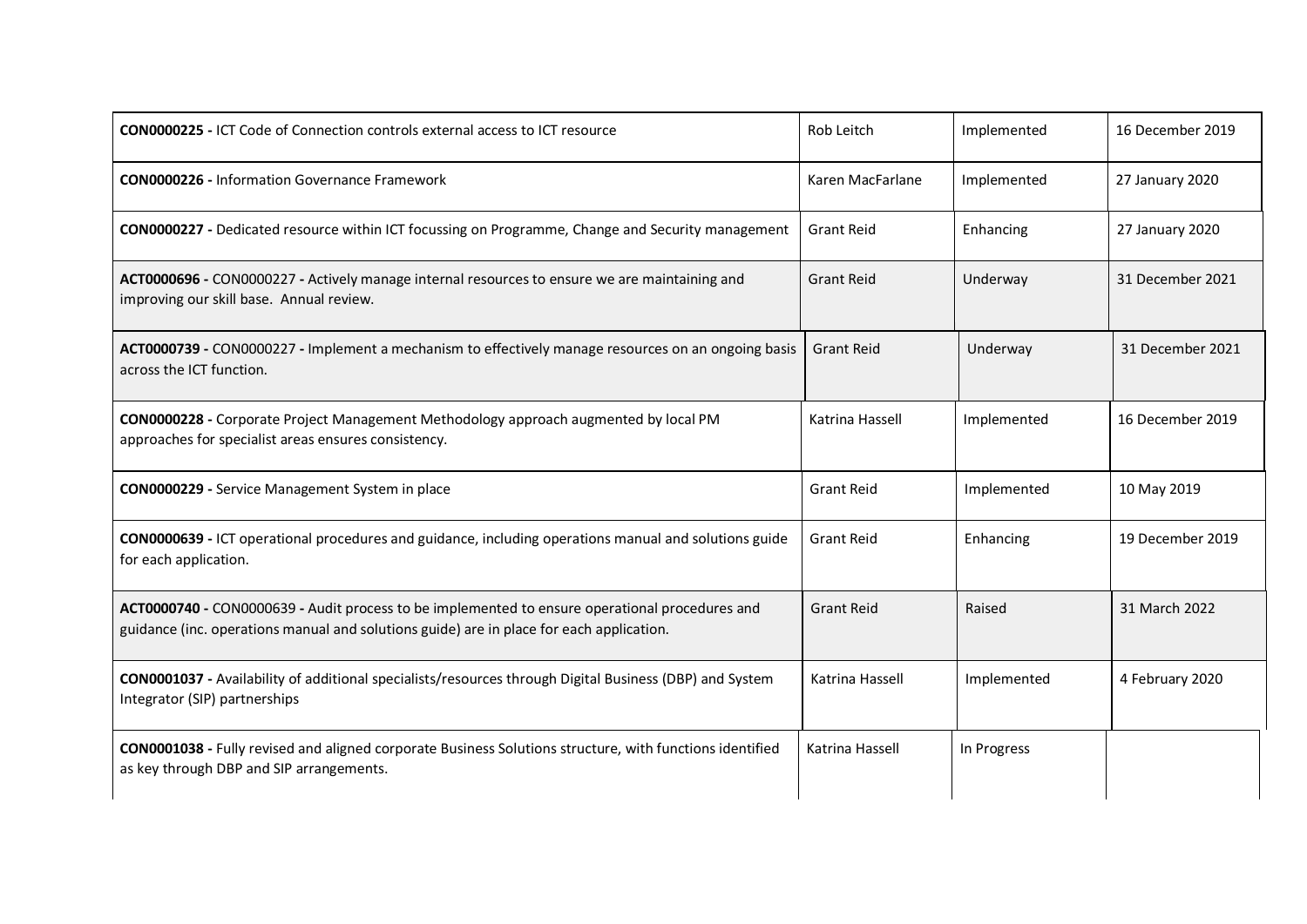| <b>CON0000225 - ICT Code of Connection controls external access to ICT resource</b>                                                                                                        | Rob Leitch        | Implemented | 16 December 2019 |
|--------------------------------------------------------------------------------------------------------------------------------------------------------------------------------------------|-------------------|-------------|------------------|
| <b>CON0000226 - Information Governance Framework</b>                                                                                                                                       | Karen MacFarlane  | Implemented | 27 January 2020  |
| CON0000227 - Dedicated resource within ICT focussing on Programme, Change and Security management                                                                                          | <b>Grant Reid</b> | Enhancing   | 27 January 2020  |
| ACT0000696 - CON0000227 - Actively manage internal resources to ensure we are maintaining and<br>improving our skill base. Annual review.                                                  | <b>Grant Reid</b> | Underway    | 31 December 2021 |
| ACT0000739 - CON0000227 - Implement a mechanism to effectively manage resources on an ongoing basis<br>across the ICT function.                                                            | <b>Grant Reid</b> | Underway    | 31 December 2021 |
| CON0000228 - Corporate Project Management Methodology approach augmented by local PM<br>approaches for specialist areas ensures consistency.                                               | Katrina Hassell   | Implemented | 16 December 2019 |
| CON0000229 - Service Management System in place                                                                                                                                            | <b>Grant Reid</b> | Implemented | 10 May 2019      |
| CON0000639 - ICT operational procedures and guidance, including operations manual and solutions guide<br>for each application.                                                             | <b>Grant Reid</b> | Enhancing   | 19 December 2019 |
| ACT0000740 - CON0000639 - Audit process to be implemented to ensure operational procedures and<br>guidance (inc. operations manual and solutions guide) are in place for each application. | <b>Grant Reid</b> | Raised      | 31 March 2022    |
| CON0001037 - Availability of additional specialists/resources through Digital Business (DBP) and System<br>Integrator (SIP) partnerships                                                   | Katrina Hassell   | Implemented | 4 February 2020  |
| CON0001038 - Fully revised and aligned corporate Business Solutions structure, with functions identified<br>as key through DBP and SIP arrangements.                                       | Katrina Hassell   | In Progress |                  |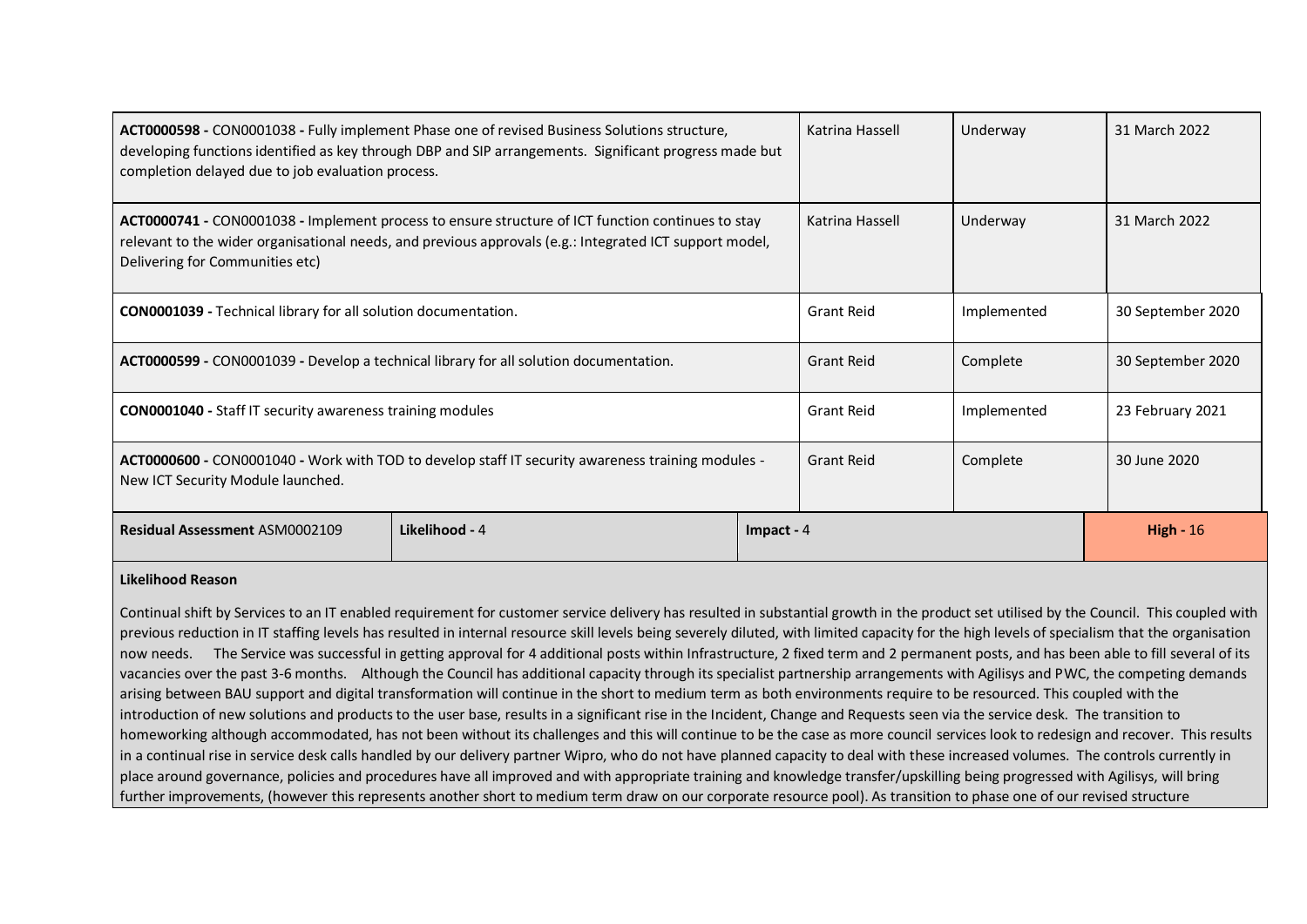| ACT0000598 - CON0001038 - Fully implement Phase one of revised Business Solutions structure,<br>developing functions identified as key through DBP and SIP arrangements. Significant progress made but<br>completion delayed due to job evaluation process. |                | Katrina Hassell | Underway          | 31 March 2022 |                   |
|-------------------------------------------------------------------------------------------------------------------------------------------------------------------------------------------------------------------------------------------------------------|----------------|-----------------|-------------------|---------------|-------------------|
| ACT0000741 - CON0001038 - Implement process to ensure structure of ICT function continues to stay<br>relevant to the wider organisational needs, and previous approvals (e.g.: Integrated ICT support model,<br>Delivering for Communities etc)             |                |                 | Katrina Hassell   | Underway      | 31 March 2022     |
| <b>CON0001039</b> - Technical library for all solution documentation.                                                                                                                                                                                       |                |                 | <b>Grant Reid</b> | Implemented   | 30 September 2020 |
| ACT0000599 - CON0001039 - Develop a technical library for all solution documentation.                                                                                                                                                                       |                |                 | <b>Grant Reid</b> | Complete      | 30 September 2020 |
| <b>CON0001040</b> - Staff IT security awareness training modules                                                                                                                                                                                            |                |                 | <b>Grant Reid</b> | Implemented   | 23 February 2021  |
| ACT0000600 - CON0001040 - Work with TOD to develop staff IT security awareness training modules -<br>New ICT Security Module launched.                                                                                                                      |                |                 | <b>Grant Reid</b> | Complete      | 30 June 2020      |
| <b>Residual Assessment ASM0002109</b>                                                                                                                                                                                                                       | Likelihood - 4 | Impact - $4$    |                   |               | High - $16$       |

#### **Likelihood Reason**

Continual shift by Services to an IT enabled requirement for customer service delivery has resulted in substantial growth in the product set utilised by the Council. This coupled with previous reduction in IT staffing levels has resulted in internal resource skill levels being severely diluted, with limited capacity for the high levels of specialism that the organisation now needs. The Service was successful in getting approval for 4 additional posts within Infrastructure, 2 fixed term and 2 permanent posts, and has been able to fill several of its vacancies over the past 3-6 months. Although the Council has additional capacity through its specialist partnership arrangements with Agilisys and PWC, the competing demands arising between BAU support and digital transformation will continue in the short to medium term as both environments require to be resourced. This coupled with the introduction of new solutions and products to the user base, results in a significant rise in the Incident, Change and Requests seen via the service desk. The transition to homeworking although accommodated, has not been without its challenges and this will continue to be the case as more council services look to redesign and recover. This results in a continual rise in service desk calls handled by our delivery partner Wipro, who do not have planned capacity to deal with these increased volumes. The controls currently in place around governance, policies and procedures have all improved and with appropriate training and knowledge transfer/upskilling being progressed with Agilisys, will bring further improvements, (however this represents another short to medium term draw on our corporate resource pool). As transition to phase one of our revised structure